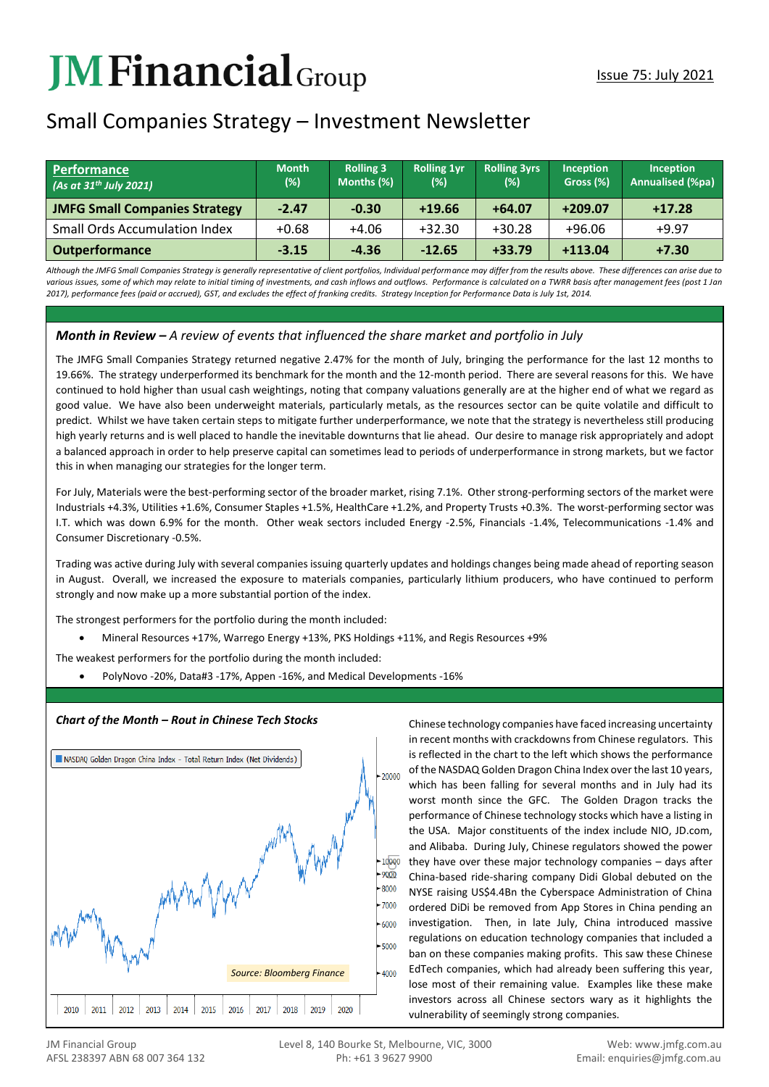# **JMFinancial**Group

# Small Companies Strategy – Investment Newsletter

| Performance<br>$(As$ at 31 <sup>th</sup> July 2021) | <b>Month</b><br>(%) | <b>Rolling 3</b><br>Months (%) | <b>Rolling 1yr</b><br>(%) | <b>Rolling 3yrs</b><br>(%) | Inception<br>Gross (%) | <b>Inception</b><br><b>Annualised (%pa)</b> |
|-----------------------------------------------------|---------------------|--------------------------------|---------------------------|----------------------------|------------------------|---------------------------------------------|
| <b>JMFG Small Companies Strategy</b>                | $-2.47$             | $-0.30$                        | $+19.66$                  | $+64.07$                   | $+209.07$              | $+17.28$                                    |
| <b>Small Ords Accumulation Index</b>                | $+0.68$             | $+4.06$                        | $+32.30$                  | $+30.28$                   | $+96.06$               | $+9.97$                                     |
| <b>Outperformance</b>                               | $-3.15$             | $-4.36$                        | $-12.65$                  | $+33.79$                   | $+113.04$              | $+7.30$                                     |

*Although the JMFG Small Companies Strategy is generally representative of client portfolios, Individual performance may differ from the results above. These differences can arise due to*  various issues, some of which may relate to initial timing of investments, and cash inflows and outflows. Performance is calculated on a TWRR basis after management fees (post 1 Jan *2017), performance fees (paid or accrued), GST, and excludes the effect of franking credits. Strategy Inception for Performance Data is July 1st, 2014.*

## *Month in Review – A review of events that influenced the share market and portfolio in July*

The JMFG Small Companies Strategy returned negative 2.47% for the month of July, bringing the performance for the last 12 months to 19.66%. The strategy underperformed its benchmark for the month and the 12-month period. There are several reasons for this. We have continued to hold higher than usual cash weightings, noting that company valuations generally are at the higher end of what we regard as good value. We have also been underweight materials, particularly metals, as the resources sector can be quite volatile and difficult to predict. Whilst we have taken certain steps to mitigate further underperformance, we note that the strategy is nevertheless still producing high yearly returns and is well placed to handle the inevitable downturns that lie ahead. Our desire to manage risk appropriately and adopt a balanced approach in order to help preserve capital can sometimes lead to periods of underperformance in strong markets, but we factor this in when managing our strategies for the longer term.

For July, Materials were the best-performing sector of the broader market, rising 7.1%. Other strong-performing sectors of the market were Industrials +4.3%, Utilities +1.6%, Consumer Staples +1.5%, HealthCare +1.2%, and Property Trusts +0.3%. The worst-performing sector was I.T. which was down 6.9% for the month. Other weak sectors included Energy -2.5%, Financials -1.4%, Telecommunications -1.4% and Consumer Discretionary -0.5%.

Trading was active during July with several companies issuing quarterly updates and holdings changes being made ahead of reporting season in August. Overall, we increased the exposure to materials companies, particularly lithium producers, who have continued to perform strongly and now make up a more substantial portion of the index.

The strongest performers for the portfolio during the month included:

• Mineral Resources +17%, Warrego Energy +13%, PKS Holdings +11%, and Regis Resources +9%

The weakest performers for the portfolio during the month included:

• PolyNovo -20%, Data#3 -17%, Appen -16%, and Medical Developments -16%



**Chart of the Month – Rout in Chinese Tech Stocks** Chinese technology companies have faced increasing uncertainty in recent months with crackdowns from Chinese regulators. This is reflected in the chart to the left which shows the performance of the NASDAQ Golden Dragon China Index over the last 10 years, which has been falling for several months and in July had its worst month since the GFC. The Golden Dragon tracks the performance of Chinese technology stocks which have a listing in the USA. Major constituents of the index include NIO, JD.com, and Alibaba. During July, Chinese regulators showed the power they have over these major technology companies – days after China-based ride-sharing company Didi Global debuted on the NYSE raising US\$4.4Bn the Cyberspace Administration of China ordered DiDi be removed from App Stores in China pending an investigation. Then, in late July, China introduced massive regulations on education technology companies that included a ban on these companies making profits. This saw these Chinese EdTech companies, which had already been suffering this year, lose most of their remaining value. Examples like these make investors across all Chinese sectors wary as it highlights the vulnerability of seemingly strong companies.